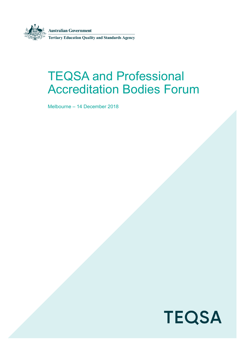

# TEQSA and Professional Accreditation Bodies Forum

Melbourne – 14 December 2018

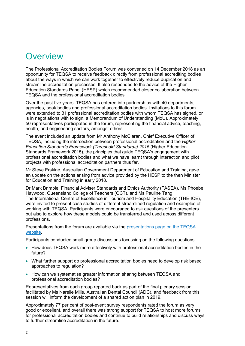### **Overview**

The Professional Accreditation Bodies Forum was convened on 14 December 2018 as an opportunity for TEQSA to receive feedback directly from professional accrediting bodies about the ways in which we can work together to effectively reduce duplication and streamline accreditation processes. It also responded to the advice of the Higher Education Standards Panel (HESP) which recommended closer collaboration between TEQSA and the professional accreditation bodies.

Over the past five years, TEQSA has entered into partnerships with 40 departments, agencies, peak bodies and professional accreditation bodies. Invitations to this forum were extended to 31 professional accreditation bodies with whom TEQSA has signed, or is in negotiations with to sign, a Memorandum of Understanding (MoU). Approximately 50 representatives participated in the forum, representing the financial advice, teaching, health, and engineering sectors, amongst others.

The event included an update from Mr Anthony McClaran, Chief Executive Officer of TEQSA, including the intersection between professional accreditation and the *Higher Education Standards Framework (Threshold Standards) 2015* (Higher Education Standards Framework 2015), the principles that guide TEQSA's engagement with professional accreditation bodies and what we have learnt through interaction and pilot projects with professional accreditation partners thus far.

Mr Steve Erskine, Australian Government Department of Education and Training, gave an update on the actions arising from advice provided by the HESP to the then Minister for Education and Training in early 2018.

Dr Mark Brimble, Financial Adviser Standards and Ethics Authority (FASEA), Ms Phoebe Haywood, Queensland College of Teachers (QCT), and Ms Pauline Tang, The International Centre of Excellence in Tourism and Hospitality Education (THE-ICE), were invited to present case studies of different streamlined regulation and examples of working with TEQSA. Participants were encouraged to ask questions of the presenters but also to explore how these models could be transferred and used across different professions.

Presentations from the forum are available via the [presentations page on the TEQSA](https://www.teqsa.gov.au/presentations)  [website.](https://www.teqsa.gov.au/presentations)

Participants conducted small group discussions focussing on the following questions:

- How does TEQSA work more effectively with professional accreditation bodies in the future?
- What further support do professional accreditation bodies need to develop risk based approaches to regulation?
- How can we systematise greater information sharing between TEQSA and professional accreditation bodies?

Representatives from each group reported back as part of the final plenary session, facilitated by Ms Narelle Mills, Australian Dental Council (ADC), and feedback from this session will inform the development of a shared action plan in 2019.

Approximately 77 per cent of post-event survey respondents rated the forum as very good or excellent, and overall there was strong support for TEQSA to host more forums for professional accreditation bodies and continue to build relationships and discuss ways to further streamline accreditation in the future.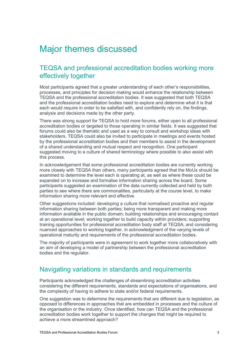## Major themes discussed

#### TEQSA and professional accreditation bodies working more effectively together

Most participants agreed that a greater understanding of each other's responsibilities, processes, and principles for decision making would enhance the relationship between TEQSA and the professional accreditation bodies. It was suggested that both TEQSA and the professional accreditation bodies need to explore and determine what it is that each would require in order to be satisfied with, and confidently rely on, the findings, analysis and decisions made by the other party.

There was strong support for TEQSA to hold more forums, either open to all professional accreditation bodies or targeted to those operating in similar fields. It was suggested that forums could also be thematic and used as a way to consult and workshop ideas with stakeholders. TEQSA could also be invited to participate in meetings and events hosted by the professional accreditation bodies and their members to assist in the development of a shared understanding and mutual respect and recognition. One participant suggested moving to a culture of shared terminology where possible to also assist with this process.

In acknowledgement that some professional accreditation bodies are currently working more closely with TEQSA than others, many participants agreed that the MoUs should be examined to determine the level each is operating at, as well as where these could be expanded on to increase and formalise information sharing across the board. Some participants suggested an examination of the data currently collected and held by both parties to see where there are commonalities, particularly at the course level, to make information sharing more relevant and effective.

Other suggestions included: developing a culture that normalised proactive and regular information sharing between both parties; being more transparent and making more information available in the public domain; building relationships and encouraging contact at an operational level; working together to build capacity within providers; supporting training opportunities for professional accreditation body staff at TEQSA; and considering nuanced approaches to working together, in acknowledgment of the varying levels of operational maturity and requirements of the professional accreditation bodies.

The majority of participants were in agreement to work together more collaboratively with an aim of developing a model of partnership between the professional accreditation bodies and the regulator.

#### Navigating variations in standards and requirements

Participants acknowledged the challenges of streamlining accreditation activities considering the different requirements, standards and expectations of organisations, and the complexity of having to adhere to state and/or federal requirements.

One suggestion was to determine the requirements that are different due to legislation, as opposed to differences in approaches that are embedded in processes and the culture of the organisation or the industry. Once identified, how can TEQSA and the professional accreditation bodies work together to support the changes that might be required to achieve a more streamlined approach?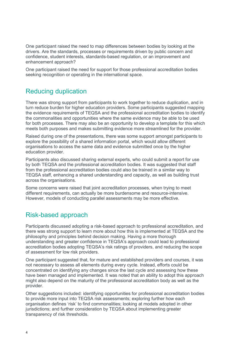One participant raised the need to map differences between bodies by looking at the drivers. Are the standards, processes or requirements driven by public concern and confidence, student interests, standards-based regulation, or an improvement and enhancement approach?

One participant raised the need for support for those professional accreditation bodies seeking recognition or operating in the international space.

#### Reducing duplication

There was strong support from participants to work together to reduce duplication, and in turn reduce burden for higher education providers. Some participants suggested mapping the evidence requirements of TEQSA and the professional accreditation bodies to identify the commonalities and opportunities where the same evidence may be able to be used for both processes. There may also be an opportunity to develop a template for this which meets both purposes and makes submitting evidence more streamlined for the provider.

Raised during one of the presentations, there was some support amongst participants to explore the possibility of a shared information portal, which would allow different organisations to access the same data and evidence submitted once by the higher education provider.

Participants also discussed sharing external experts, who could submit a report for use by both TEQSA and the professional accreditation bodies. It was suggested that staff from the professional accreditation bodies could also be trained in a similar way to TEQSA staff, enhancing a shared understanding and capacity, as well as building trust across the organisations.

Some concerns were raised that joint accreditation processes, when trying to meet different requirements, can actually be more burdensome and resource-intensive. However, models of conducting parallel assessments may be more effective.

### Risk-based approach

Participants discussed adopting a risk-based approach to professional accreditation, and there was strong support to learn more about how this is implemented at TEQSA and the philosophy and principles behind decision making. Having a more thorough understanding and greater confidence in TEQSA's approach could lead to professional accreditation bodies adopting TEQSA's risk ratings of providers, and reducing the scope of assessment for low risk providers.

One participant suggested that, for mature and established providers and courses, it was not necessary to assess all elements during every cycle. Instead, efforts could be concentrated on identifying any changes since the last cycle and assessing how these have been managed and implemented. It was noted that an ability to adopt this approach might also depend on the maturity of the professional accreditation body as well as the provider.

Other suggestions included: identifying opportunities for professional accreditation bodies to provide more input into TEQSA risk assessments; exploring further how each organisation defines 'risk' to find commonalities; looking at models adopted in other jurisdictions; and further consideration by TEQSA about implementing greater transparency of risk thresholds.